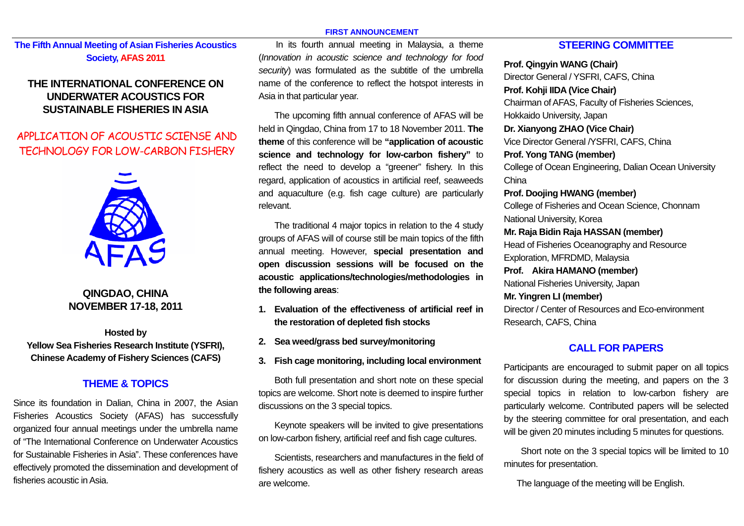#### **FIRST ANNOUNCEMENT**

# **The Fifth Annual Meeting of Asian Fisheries Acoustics Society, AFAS 2011**

# **THE INTERNATIONAL CONFERENCE ON UNDERWATER ACOUSTICS FOR SUSTAINABLE FISHERIES IN ASIA**

# APPLICATION OF ACOUSTIC SCIENSE AND TECHNOLOGY FOR LOW-CARBON FISHERY



# **QINGDAO, CHINA NOVEMBER 17-18, 2011**

**Hosted by Yellow Sea Fisheries Research Institute (YSFRI), Chinese Academy of Fishery Sciences (CAFS)** 

## **THEME & TOPICS**

Since its foundation in Dalian, China in 2007, the Asian Fisheries Acoustics Society (AFAS) has successfully organized four annual meetings under the umbrella name of "The International Conference on Underwater Acoustics for Sustainable Fisheries in Asia". These conferences have effectively promoted the dissemination and development of fisheries acoustic in Asia.

In its fourth annual meeting in Malaysia, a theme (*Innovation in acoustic science and technology for food security*) was formulated as the subtitle of the umbrella name of the conference to reflect the hotspot interests in Asia in that particular year.

The upcoming fifth annual conference of AFAS will be held in Qingdao, China from 17 to 18 November 2011. **The theme** of this conference will be **"application of acoustic science and technology for low-carbon fishery"** to reflect the need to develop a "greener" fishery. In this regard, application of acoustics in artificial reef, seaweeds and aquaculture (e.g. fish cage culture) are particularly relevant.

The traditional 4 major topics in relation to the 4 study groups of AFAS will of course still be main topics of the fifth annual meeting. However, **special presentation and open discussion sessions will be focused on the acoustic applications/technologies/methodologies in the following areas**:

- **1. Evaluation of the effectiveness of artificial reef in the restoration of depleted fish stocks**
- **2. Sea weed/grass bed survey/monitoring**
- **3. Fish cage monitoring, including local environment**

Both full presentation and short note on these special topics are welcome. Short note is deemed to inspire further discussions on the 3 special topics.

Keynote speakers will be invited to give presentations on low-carbon fishery, artificial reef and fish cage cultures.

Scientists, researchers and manufactures in the field of fishery acoustics as well as other fishery research areas are welcome.

## **STEERING COMMITTEE**

**Prof. Qingyin WANG (Chair)**  Director General / YSFRI, CAFS, China **Prof. Kohji IIDA (Vice Chair)**  Chairman of AFAS, Faculty of Fisheries Sciences, Hokkaido University, Japan **Dr. Xianyong ZHAO (Vice Chair)**  Vice Director General /YSFRI, CAFS, China **Prof. Yong TANG (member)**  College of Ocean Engineering, Dalian Ocean University China **Prof. Doojing HWANG (member)** College of Fisheries and Ocean Science, Chonnam National University, Korea **Mr. Raja Bidin Raja HASSAN (member)**  Head of Fisheries Oceanography and Resource Exploration, MFRDMD, Malaysia **Prof. Akira HAMANO (member)**  National Fisheries University, Japan **Mr. Yingren LI (member)**  Director / Center of Resources and Eco-environment Research, CAFS, China

#### **CALL FOR PAPERS**

Participants are encouraged to submit paper on all topics for discussion during the meeting, and papers on the 3 special topics in relation to low-carbon fishery are particularly welcome. Contributed papers will be selected by the steering committee for oral presentation, and each will be given 20 minutes including 5 minutes for questions.

Short note on the 3 special topics will be limited to 10 minutes for presentation.

The language of the meeting will be English.